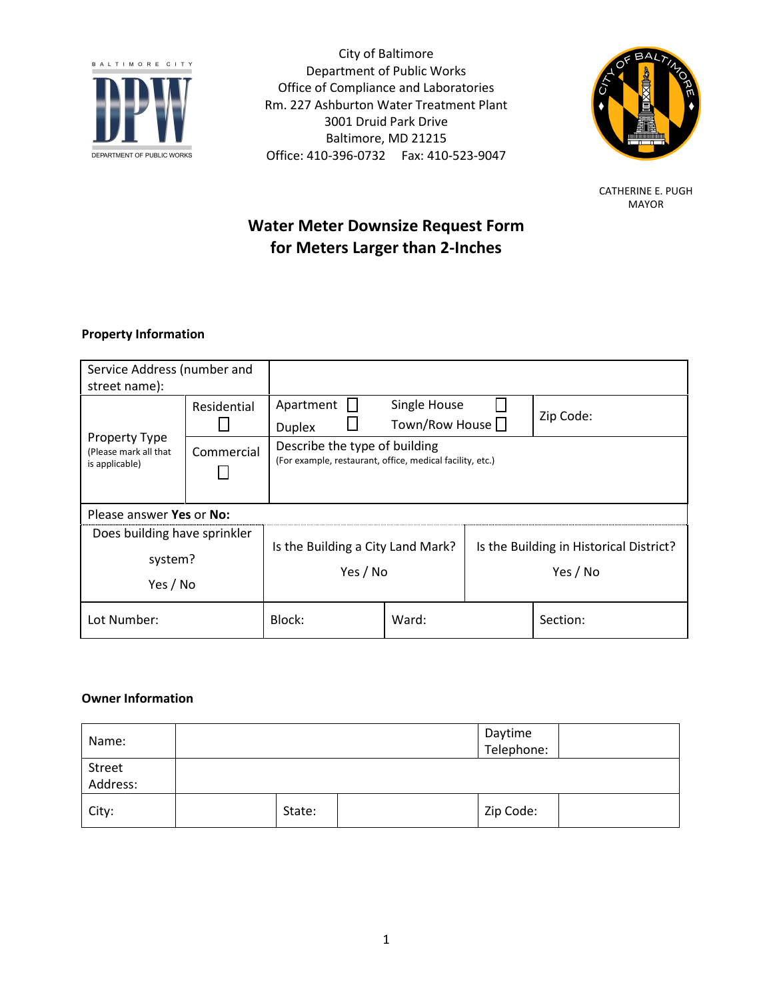

City of Baltimore Department of Public Works Office of Compliance and Laboratories Rm. 227 Ashburton Water Treatment Plant 3001 Druid Park Drive Baltimore, MD 21215 Office: 410-396-0732 Fax: 410-523-9047



CATHERINE E. PUGH MAYOR

# Water Meter Downsize Request Form for Meters Larger than 2-Inches

# Property Information

| Service Address (number and<br>street name):                    |             |                                                                                            |       |                                                     |          |  |  |
|-----------------------------------------------------------------|-------------|--------------------------------------------------------------------------------------------|-------|-----------------------------------------------------|----------|--|--|
| <b>Property Type</b><br>(Please mark all that<br>is applicable) | Residential | Apartment<br>Single House<br>Zip Code:<br>Town/Row House $\Box$<br><b>Duplex</b>           |       |                                                     |          |  |  |
|                                                                 | Commercial  | Describe the type of building<br>(For example, restaurant, office, medical facility, etc.) |       |                                                     |          |  |  |
| Please answer Yes or No:                                        |             |                                                                                            |       |                                                     |          |  |  |
| Does building have sprinkler<br>system?<br>Yes / No             |             | Is the Building a City Land Mark?<br>Yes / No                                              |       | Is the Building in Historical District?<br>Yes / No |          |  |  |
| Lot Number:                                                     |             | Block:                                                                                     | Ward: |                                                     | Section: |  |  |

# Owner Information

| Name:              |        | Daytime<br>Telephone: |  |
|--------------------|--------|-----------------------|--|
| Street<br>Address: |        |                       |  |
| City:              | State: | Zip Code:             |  |